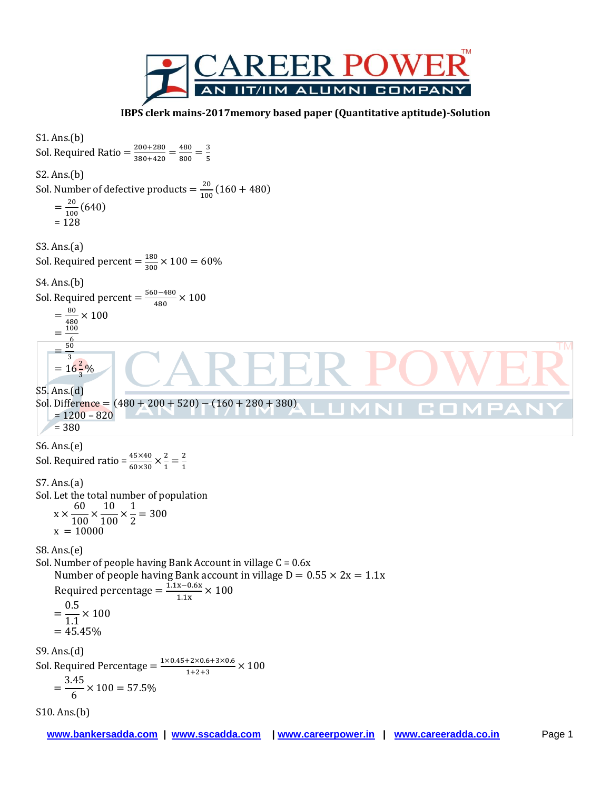

 **IBPS clerk mains-2017memory based paper (Quantitative aptitude)-Solution**

S1. Ans.(b) Sol. Required Ratio =  $\frac{2}{3}$  $\frac{200+280}{380+420}=\frac{4}{8}$  $\frac{480}{800} = \frac{3}{5}$ 5 S2. Ans.(b) Sol. Number of defective products  $=\frac{2}{3}$  $\frac{20}{100}$  (160 + 480)  $=\frac{2}{14}$  $\frac{20}{100}(640)$  $= 128$ S3. Ans.(a) Sol. Required percent  $=\frac{1}{3}$  $\frac{180}{300}$  X S4. Ans.(b) Sol. Required percent  $=\frac{5}{5}$  $\frac{10-480}{480}$  X  $=\frac{8}{16}$  $\frac{60}{480}$   $\times$  $=\frac{1}{2}$  $50$ **TM**  $=$ 3  $=16\frac{2}{3}\%$ S5. Ans.(d) Sol. Difference =  $(480 + 200 + 520) - (160 + 280 + 380)$ **COL**  $= 1200 - 820$ = 380 S6. Ans.(e) Sol. Required ratio =  $\frac{45\times40}{60\times30}\times\frac{2}{1}$  $\frac{2}{1} = \frac{2}{1}$  $\mathbf{1}$ S7. Ans.(a) Sol. Let the total number of population 6  $\mathbf{1}$  $\mathbf{1}$ X  $\frac{1}{100}$  ×  $\frac{1}{100}$  ×  $\frac{1}{2}$  =  $x = 10000$ S8. Ans.(e) Sol. Number of people having Bank Account in village C = 0.6x Number of people having Bank account in village  $D = 0.55 \times 2x = 1.1x$ Required percentage  $=$   $\frac{1}{2}$  $\frac{x-0.6x}{1.1x}$  X  $\boldsymbol{0}$  $=$  $\frac{315}{1.1}$  ×  $= 45.45%$ S9. Ans.(d) Sol. Required Percentage  $=\frac{1}{2}$  $\frac{1+2\times0.0+3\times0.0}{1+2+3}$  X 3  $=$  $\frac{12}{6}$   $\times$ S10. Ans.(b)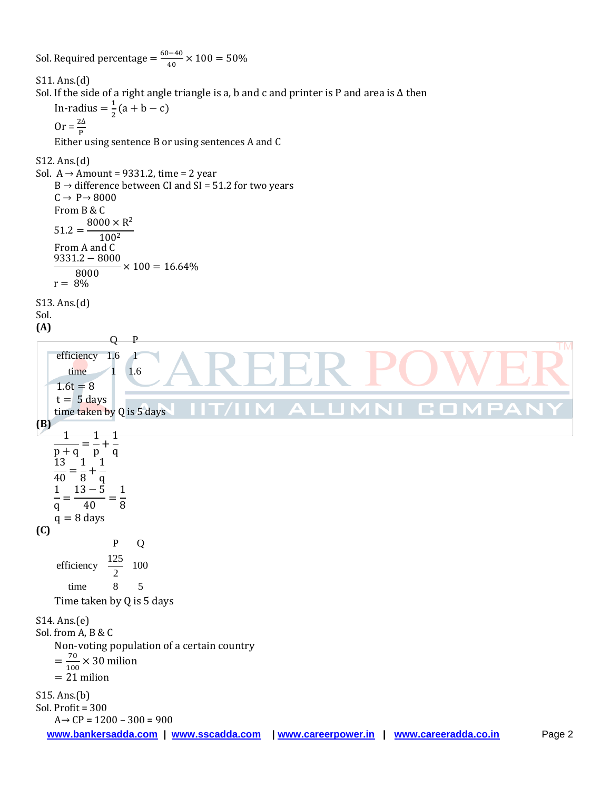Sol. Required percentage  $=\frac{6}{5}$  $\frac{1}{40}$   $\times$ S11. Ans.(d) Sol. If the side of a right angle triangle is a, b and c and printer is P and area is ∆ then In-radius  $=\frac{1}{2}$  $\frac{1}{2}$ (a + b – c)  $0r = \frac{2\Delta}{R}$ P Either using sentence B or using sentences A and C S12. Ans.(d) Sol. A → Amount = 9331.2, time = 2 year  $B \rightarrow$  difference between CI and SI = 51.2 for two years  $C \rightarrow P \rightarrow 8000$ From B & C  $8000 \times R^2$  $51.2 = 100<sup>2</sup>$ From A and C 9  $\frac{1}{8000} \times$  $r = 8\%$ S13. Ans.(d) Sol. **(A)** Q P **TM** efficiency 1.6 1 time  $1 \t1.6$  $1.6t = 8$  $t = 5$  days C O  $\blacktriangle$  : time taken by Q is 5 days **(B)**  $\mathbf{1}$  $\mathbf{1}$  $\mathbf{1}$  $\frac{1}{p+q} = \frac{1}{p} +$  $\frac{1}{q}$  $13 \quad 1 \quad 1$  $=\frac{1}{8}$  +  $\overline{40}$  $8<sup>1</sup>q$  $\mathbf{1}$  $\mathbf{1}$  $\mathbf{1}$  $=$ q 4 8  $q = 8$  days **(C)** P Q efficiency  $\frac{125}{2}$  100 2 time 8 5 Time taken by Q is 5 days S14. Ans.(e) Sol. from A, B & C Non-voting population of a certain country  $=\frac{7}{16}$  $\frac{70}{100}$  × 30 milion  $= 21$  milion S15. Ans.(b) Sol. Profit = 300  $A \rightarrow CP = 1200 - 300 = 900$ **www.bankersadda.com | www.sscadda.com | www.careerpower.in | www.careeradda.co.in** Page 2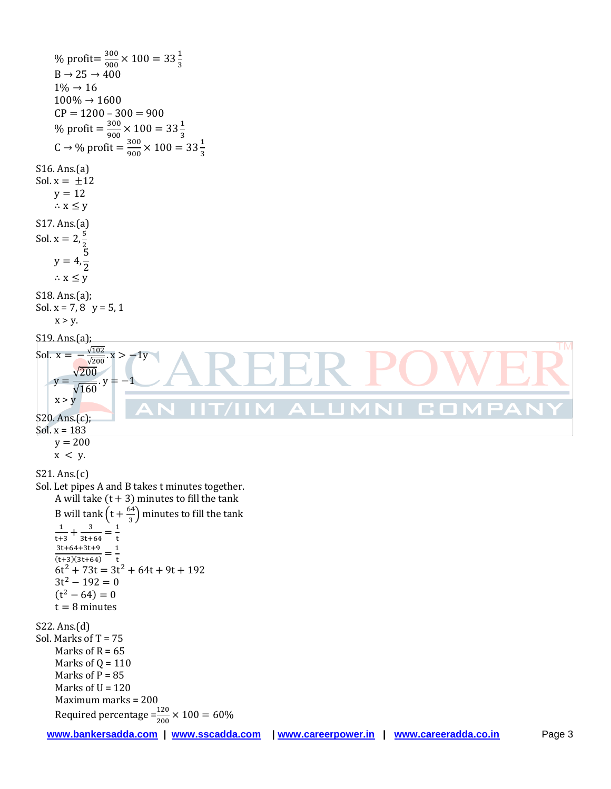% profit= $\frac{3}{8}$  $\frac{300}{900}$  × 100 = 33 $\frac{1}{3}$  $B \rightarrow 25 \rightarrow 400$  $1\% \rightarrow 16$  $100\% \rightarrow 1600$  $CP = 1200 - 300 = 900$ % profit  $=\frac{3}{8}$  $\frac{300}{900}$  × 100 = 33 $\frac{1}{3}$  $C \rightarrow \frac{9}{2}$  profit =  $\frac{3}{2}$  $\frac{300}{900}$  × 100 = 33 $\frac{1}{3}$ S16. Ans.(a) Sol.  $x = \pm 12$  $y = 12$  $\therefore$  X  $\leq$  y S17. Ans.(a) Sol.  $x = 2, \frac{5}{3}$  $\overline{c}$ 5  $y = 4$ ,  $\overline{c}$  $\therefore$  X  $\leq$  y S18. Ans.(a); Sol.  $x = 7, 8$   $y = 5, 1$  $x > y$ . S19. Ans.(a); **TM**  $\sqrt{102}$ Sol.  $x =$  $x > \sqrt{2}$  $\sqrt{2}$ y :  $\sqrt{1}$  $x > y$ n. **The State** S20. Ans.(c); Sol. x = 183  $y = 200$  $x < y$ . S21. Ans.(c) Sol. Let pipes A and B takes t minutes together. A will take  $(t + 3)$  minutes to fill the tank B will tank  $\left(t+\frac{6}{5}\right)$  $\frac{3}{3}$ ) minutes to fill the tank 3  $\mathbf{1}$  $\mathbf{1}$  $+\frac{1}{3}$  $=$  $t+3$ t  $3t+64+3t+9$  $=\frac{1}{1}$  $(t+3)(3t+64)$  t  $6t^2 + 73t = 3t^2 + 64t + 9t +$  $3t^2$  $(t^2 - 64) =$  $t = 8$  minutes S22. Ans.(d) Sol. Marks of T = 75 Marks of  $R = 65$ Marks of  $Q = 110$ Marks of  $P = 85$ Marks of  $U = 120$ Maximum marks = 200 Required percentage  $=\frac{120}{200}$   $\times$ **www.bankersadda.com | www.sscadda.com | www.careerpower.in | www.careeradda.co.in** Page 3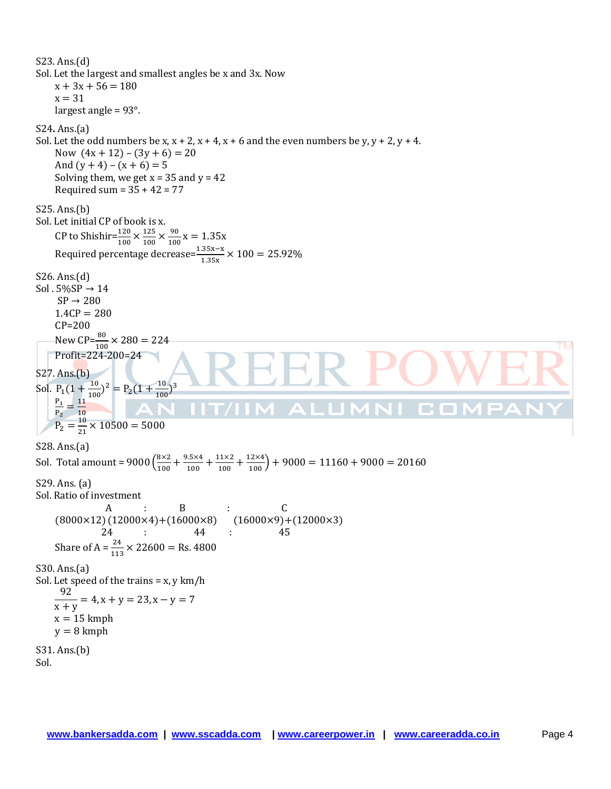S23. Ans.(d) Sol. Let the largest and smallest angles be x and 3x. Now  $x + 3x + 56 = 180$  $x = 31$ largest angle = 93°. S24**.** Ans.(a) Sol. Let the odd numbers be x,  $x + 2$ ,  $x + 4$ ,  $x + 6$  and the even numbers be y,  $y + 2$ ,  $y + 4$ . Now  $(4x + 12) - (3y + 6) = 20$ And  $(y + 4) - (x + 6) = 5$ Solving them, we get  $x = 35$  and  $y = 42$ Required sum =  $35 + 42 = 77$ S25. Ans.(b) Sol. Let initial CP of book is x. CP to Shishir= $\frac{120}{100} \times \frac{1}{1}$  $\frac{125}{100} \times \frac{9}{10}$  $\frac{90}{100}X$ Required percentage decrease= $\frac{1.35x-x}{1.35x}$   $\times$ S26. Ans.(d) Sol  $.5\%$ SP  $\rightarrow$  14  $SP \rightarrow 280$  $1.4CP = 280$ CP=200 New CP= $\frac{80}{100}$  × **TM** Profit=224-200=24 S27. Ans.(b) Sol.  $P_1(1+\frac{1}{10})$  $\frac{10}{100}$ )<sup>2</sup> = P<sub>2</sub>(1 +  $\frac{1}{10}$ 3  $\frac{10}{100}$ P  $\frac{P_1}{P_2} = \frac{1}{1}$ Œ  $\overline{\mathbf{1}}$  $P_2 = \frac{1}{2}$  $rac{10}{21}$  X S28. Ans.(a) Sol. Total amount =  $9000\left(\frac{8}{4}\right)$  $\frac{8\times2}{100} + \frac{9}{100}$  $\frac{1.5 \times 4}{100} + \frac{1}{1}$  $\frac{11\times2}{100} + \frac{12\times4}{100} +$ S29. Ans. (a) Sol. Ratio of investment  $A$  : B : C  $(8000\times12)(12000\times4)+(16000\times8)$   $(16000\times9)+(12000\times3)$  24 : 44 : 45 Share of A =  $\frac{24}{113} \times 22600 =$  Rs. 4800 S30. Ans.(a) Sol. Let speed of the trains =  $x$ ,  $y$  km/h 9  $\frac{y}{x+y}$  = 4, x + y = 23, x  $x = 15$  kmph  $y = 8$  kmph S31. Ans.(b) Sol.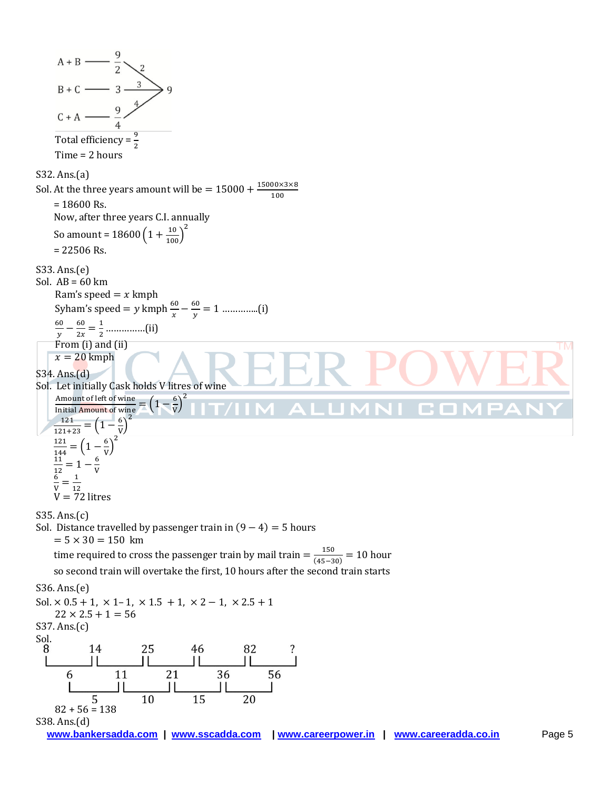$A + B$  —  $B + C$  - 3 - $C + A$ Total efficiency =  $\frac{3}{2}$ Time = 2 hours S32. Ans.(a) Sol. At the three years amount will be  $=15000+\frac{1}{2}$  $\mathbf{1}$  $= 18600$  Rs. Now, after three years C.I. annually So amount =  $18600\left(1+\frac{10}{100}\right)^2$  $= 22506$  Rs. S33. Ans.(e) Sol.  $AB = 60$  km Ram's speed  $=x$  kmph Syham's speed =  $y$  kmph  $\frac{60}{x} - \frac{6}{y}$  …………..(i) 6  $\frac{50}{y} - \frac{6}{2}$  $\frac{60}{2x} = \frac{1}{2}$  ……………(ii) From (i) and (ii) **TM**  $x = 20$  kmph S34. Ans.(d) Sol. Let initially Cask holds V litres of wine  $\left(\frac{6}{V}\right)^2$ Amount of left of wine  $=\left(1-\frac{6}{V}\right)$ **College**  $\overline{c}$  $\mathbf{1}$  $=(1-\frac{6}{v})$  $\frac{6}{V}$  $\mathbf{1}$  $\left(\frac{6}{V}\right)^2$  $\mathbf{1}$  $\frac{121}{144} = \left(1 - \frac{6}{v}\right)$  $\mathbf{1}$  $\frac{11}{12} = 1 - \frac{6}{v}$ V 6  $\frac{1}{ }$  $\frac{6}{V} = \frac{1}{12}$ <br>V = 72 litres V S35. Ans.(c) Sol. Distance travelled by passenger train in  $(9 - 4) = 5$  hours  $= 5 \times 30 = 150$  km time required to cross the passenger train by mail train  $=\frac{1}{\sqrt{1-\epsilon}}$  $\frac{150}{(45-30)}$  = 10 hour so second train will overtake the first, 10 hours after the second train starts S36. Ans.(e) Sol.  $\times$  0.5 + 1,  $\times$  1-1,  $\times$  1.5 + 1,  $\times$  2 - 1,  $\times$  2.5 + 1  $22 \times 2.5 + 1 = 56$ S37. Ans.(c) Sol.  $\frac{1}{2}$ I  $\overline{36}$ 21 56 6 11  $\mathbf{H}$ 5  $82 + 56 = 138$ S38. Ans.(d)**www.bankersadda.com | www.sscadda.com | www.careerpower.in | www.careeradda.co.in** Page 5